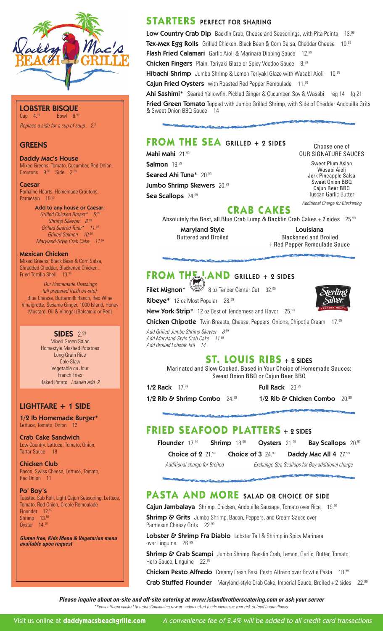

#### **LOBSTER BISQUE**<br>Cun 4<sup>99</sup> Bowl 6.99  $Bowl$  6.99

*Replace a side for a cup of soup 2.5*

### **GREENS**

Daddy Mac's House Mixed Greens, Tomato, Cucumber, Red Onion, Croutons 9.<sup>50</sup> Side 2.99

Caesar Romaine Hearts, Homemade Croutons, Parmesan 10.50

> Add to any house or Caesar: *Grilled Chicken Breast\* 5.99 Shrimp Skewer 8.99 Grilled Seared Tuna\* 11.99 Grilled Salmon 10.99 Maryland-Style Crab Cake 11.99*

#### Mexican Chicken

Mixed Greens, Black Bean & Corn Salsa, Shredded Cheddar, Blackened Chicken, Fried Tortilla Shell 13.99

*Our Homemade Dressings (all prepared fresh on-site):*  Blue Cheese, Buttermilk Ranch, Red Wine Vinaigrette, Sesame Ginger, 1000 Island, Honey Mustard, Oil & Vinegar (Balsamic or Red)

> SIDES 2.99 Mixed Green Salad Homestyle Mashed Potatoes Long Grain Rice Cole Slaw Vegetable du Jour French Fries Baked Potato *Loaded add 2*

### LIGHTFARE + 1 SIDE

1/2 lb Homemade Burger\* Lettuce, Tomato, Onion 12

Crab Cake Sandwich Low Country, Lettuce, Tomato, Onion, Tartar Sauce 18

Chicken Club Bacon, Swiss Cheese, Lettuce, Tomato, Red Onion 11

#### Po' Boy's

Toasted Sub Roll, Light Cajun Seasoning, Lettuce, Tomato, Red Onion, Creole Remoulade Flounder 12.50 Shrimp 13.50 Oyster 14.50

*Gluten free, Kids Menu & Vegetarian menu available upon request*

## **STARTERS** PERFECT FOR SHARING

Low Country Crab Dip Backfin Crab, Cheese and Seasonings, with Pita Points 13.99 Tex-Mex Egg Rolls Grilled Chicken, Black Bean & Corn Salsa, Cheddar Cheese 10.99 Flash Fried Calamari Garlic Aioli & Marinara Dipping Sauce 12.99 Chicken Fingers Plain, Teriyaki Glaze or Spicy Voodoo Sauce 8.99 Hibachi Shrimp Jumbo Shrimp & Lemon Teriyaki Glaze with Wasabi Aioli 10.99 Cajun Fried Oysters with Roasted Red Pepper Remoulade 11.99 Ahi Sashimi\* Seared Yellowfin, Pickled Ginger & Cucumber, Soy & Wasabi reg 14 lg 21 Fried Green Tomato Topped with Jumbo Grilled Shrimp, with Side of Cheddar Andouille Grits

## **FROM THE SEA** GRILLED + 2 SIDES

Mahi Mahi 21.99 Salmon 19.99

Seared Ahi Tuna\* 20.99

& Sweet Onion BBQ Sauce 14

Jumbo Shrimp Skewers 20.99

Sea Scallops 24.99

Choose one of OUR SIGNATURE SAUCES

Sweet Plum Asian Wasabi Aioli Jerk Pineapple Salsa Sweet Onion BBQ Cajun Beer BBQ Tuscan Garlic Butter *Additional Charge for Blackening*

## **CRAB CAKES**

Absolutely the Best, all Blue Crab Lump & Backfin Crab Cakes + 2 sides 25.99

Maryland Style Louisiana Buttered and Broiled Blackened and Broiled + Red Pepper Remoulade Sauce

# **FROM THE LAND GRILLED + 2 SIDES**

**Filet Mignon\***  $\left(\begin{array}{cc} \sqrt{16} & \sqrt{16} \\ \sqrt{16} & \sqrt{16} \\ \sqrt{16} & \sqrt{16} \end{array}\right)$  8 oz Tender Center Cut 32.99

Ribeye\* 12 oz Most Popular 28.99

New York Strip<sup>\*</sup> 12 oz Best of Tenderness and Flavor 25.99

Chicken Chipotle Twin Breasts, Cheese, Peppers, Onions, Chipotle Cream 17.99

*Add Grilled Jumbo Shrimp Skewer 8.99 Add Maryland-Style Crab Cake 11.99 Add Broiled Lobster Tail 14*

## **ST. LOUIS RIBS** + 2 SIDES

Marinated and Slow Cooked, Based in Your Choice of Homemade Sauces: Sweet Onion BBQ or Cajun Beer BBQ

**1/2 Rack**  $17.99$  **Full Rack**  $23.99$ 

1/2 Rib & Shrimp Combo  $24.99$  1/2 Rib & Chicken Combo  $20.99$ 

## **FRIED SEAFOOD PLATTERS** + 2 SIDES

Flounder 17.99 Shrimp 18.99 Oysters 21.99 Bay Scallops 20.99

Choice of 2  $21.99$  Choice of 3  $24.99$  Daddy Mac All 4  $27.99$ 

*Additional charge for Broiled Exchange Sea Scallops for Bay additional charge*

# **PASTA AND MORE** SALAD OR CHOICE OF SIDE

Cajun Jambalaya Shrimp, Chicken, Andouille Sausage, Tomato over Rice 19.99

**Shrimp & Grits** Jumbo Shrimp, Bacon, Peppers, and Cream Sauce over Parmesan Cheesy Grits 22.99

Lobster & Shrimp Fra Diablo Lobster Tail & Shrimp in Spicy Marinara over Linguine 26.99

Shrimp & Crab Scampi Jumbo Shrimp, Backfin Crab, Lemon, Garlic, Butter, Tomato, Herb Sauce, Linguine 22.99

Chicken Pesto Alfredo Creamy Fresh Basil Pesto Alfredo over Bowtie Pasta 18.99 Crab Stuffed Flounder Maryland-style Crab Cake, Imperial Sauce, Broiled + 2 sides 22.99

*Please inquire about on-site and off-site catering at www.islandbrotherscatering.com or ask your server*

*\*Items offered cooked to order. Consuming raw or undercooked foods increases your risk of food borne illness.*